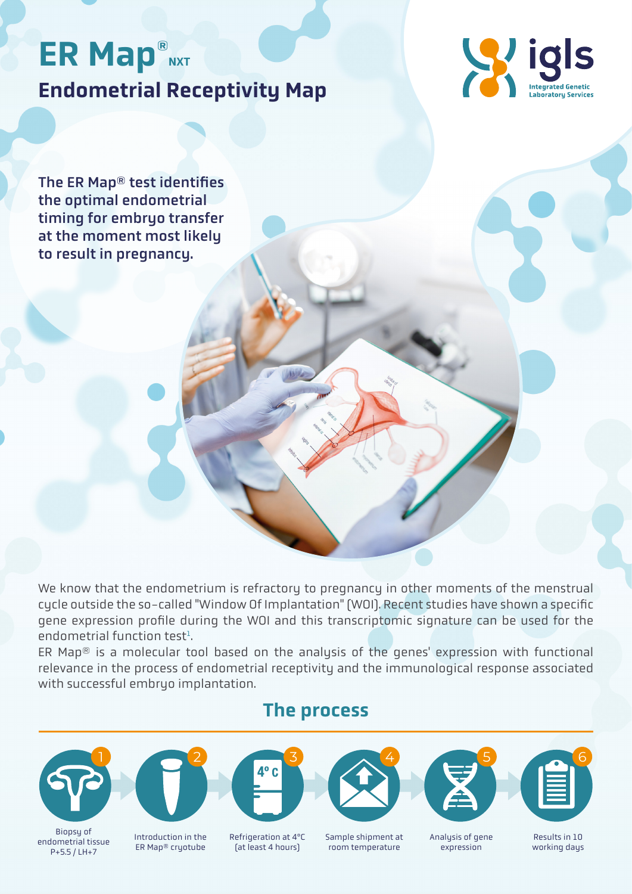# Endometrial Receptivity Map ER Map®NXT



The ER Map® test identifies the optimal endometrial timing for embryo transfer at the moment most likely to result in pregnancy.

We know that the endometrium is refractory to pregnancy in other moments of the menstrual cycle outside the so-called "Window Of Implantation" (WOI). Recent studies have shown a specific gene expression profile during the WOI and this transcriptomic signature can be used for the endometrial function test<sup>1</sup>. .

ER Map® is a molecular tool based on the analysis of the genes' expression with functional relevance in the process of endometrial receptivity and the immunological response associated with successful embryo implantation.

#### The process



endometrial tissue P+5.5 / LH+7



Introduction in the ER Map® cryotube



Refrigeration at 4ºC (at least 4 hours)



Sample shipment at room temperature





Analysis of gene expression

Results in 10 working days